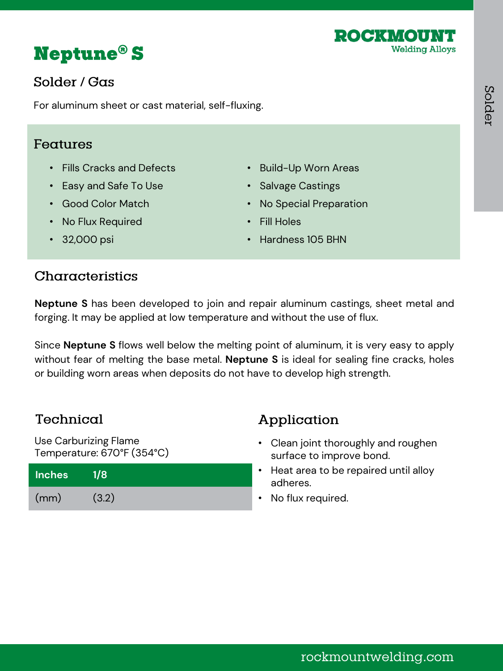



# Solder / Gas

For aluminum sheet or cast material, self-fluxing.

#### Features

- Fills Cracks and Defects
- Easy and Safe To Use
- Good Color Match
- No Flux Required
- Build-Up Worn Areas • Salvage Castings
- No Special Preparation
- Fill Holes
- Hardness 105 BHN

• 32,000 psi

## Characteristics

**Neptune S** has been developed to join and repair aluminum castings, sheet metal and forging. It may be applied at low temperature and without the use of flux.

Since **Neptune S** flows well below the melting point of aluminum, it is very easy to apply without fear of melting the base metal. **Neptune S** is ideal for sealing fine cracks, holes or building worn areas when deposits do not have to develop high strength.

# Technical

Use Carburizing Flame Temperature: 670°F (354°C)

| <b>Inches</b> | 7/8   |  |
|---------------|-------|--|
| (mm)          | (3.2) |  |

# Application

- Clean joint thoroughly and roughen surface to improve bond.
- Heat area to be repaired until alloy adheres.
- No flux required.